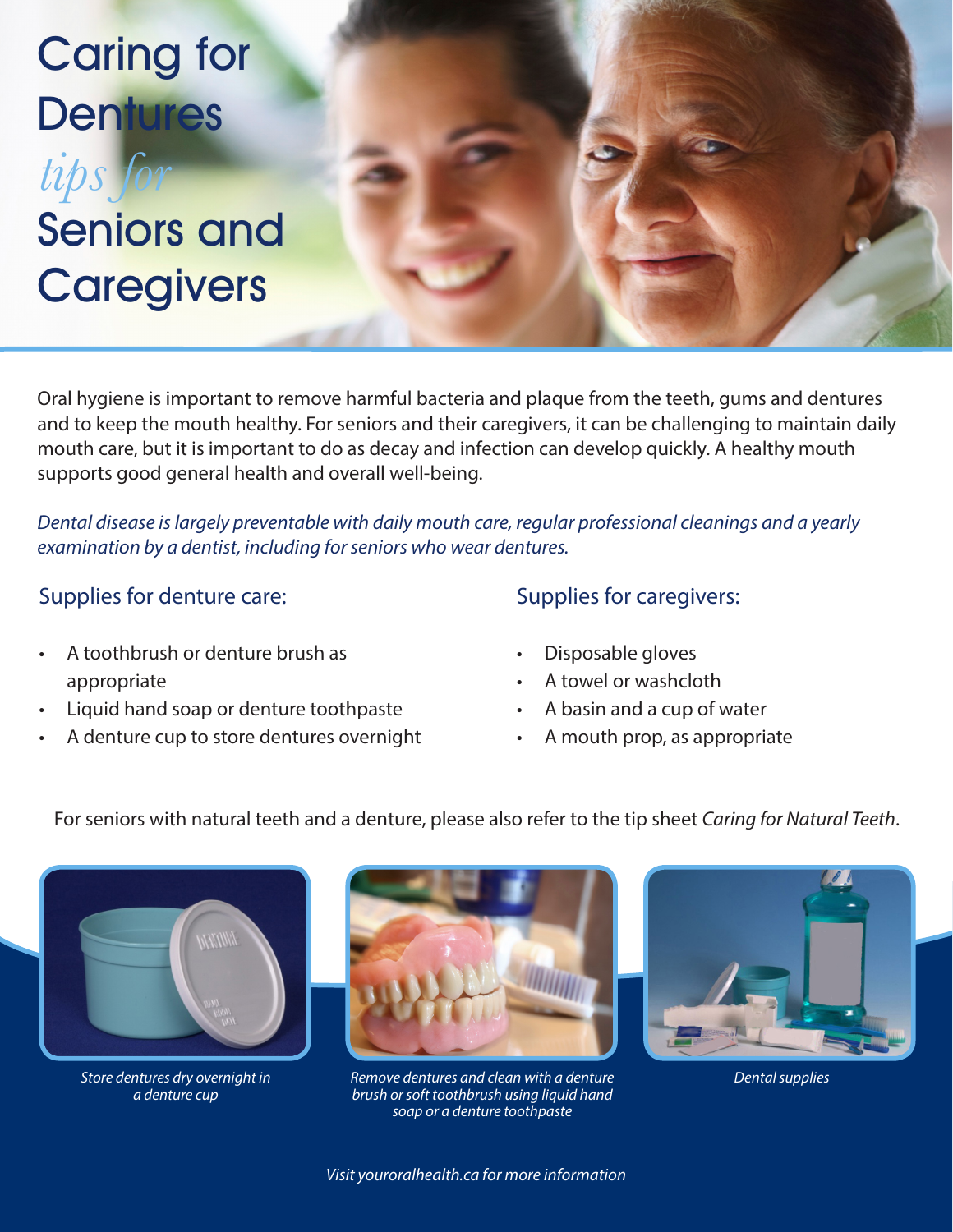## Caring for **Dentures** tips fo

# Seniors and **Caregivers**

Oral hygiene is important to remove harmful bacteria and plaque from the teeth, gums and dentures and to keep the mouth healthy. For seniors and their caregivers, it can be challenging to maintain daily mouth care, but it is important to do as decay and infection can develop quickly. A healthy mouth supports good general health and overall well-being.

*Dental disease is largely preventable with daily mouth care, regular professional cleanings and a yearly examination by a dentist, including for seniors who wear dentures.* 

### Supplies for denture care:

- A toothbrush or denture brush as appropriate
- Liquid hand soap or denture toothpaste
- A denture cup to store dentures overnight

#### Supplies for caregivers:

- Disposable gloves
- A towel or washcloth
- A basin and a cup of water
- A mouth prop, as appropriate

For seniors with natural teeth and a denture, please also refer to the tip sheet *Caring for Natural Teeth*.



*Store dentures dry overnight in a denture cup*



*Remove dentures and clean with a denture brush or soft toothbrush using liquid hand soap or a denture toothpaste*



*Dental supplies*

*Visit youroralhealth.ca for more information*